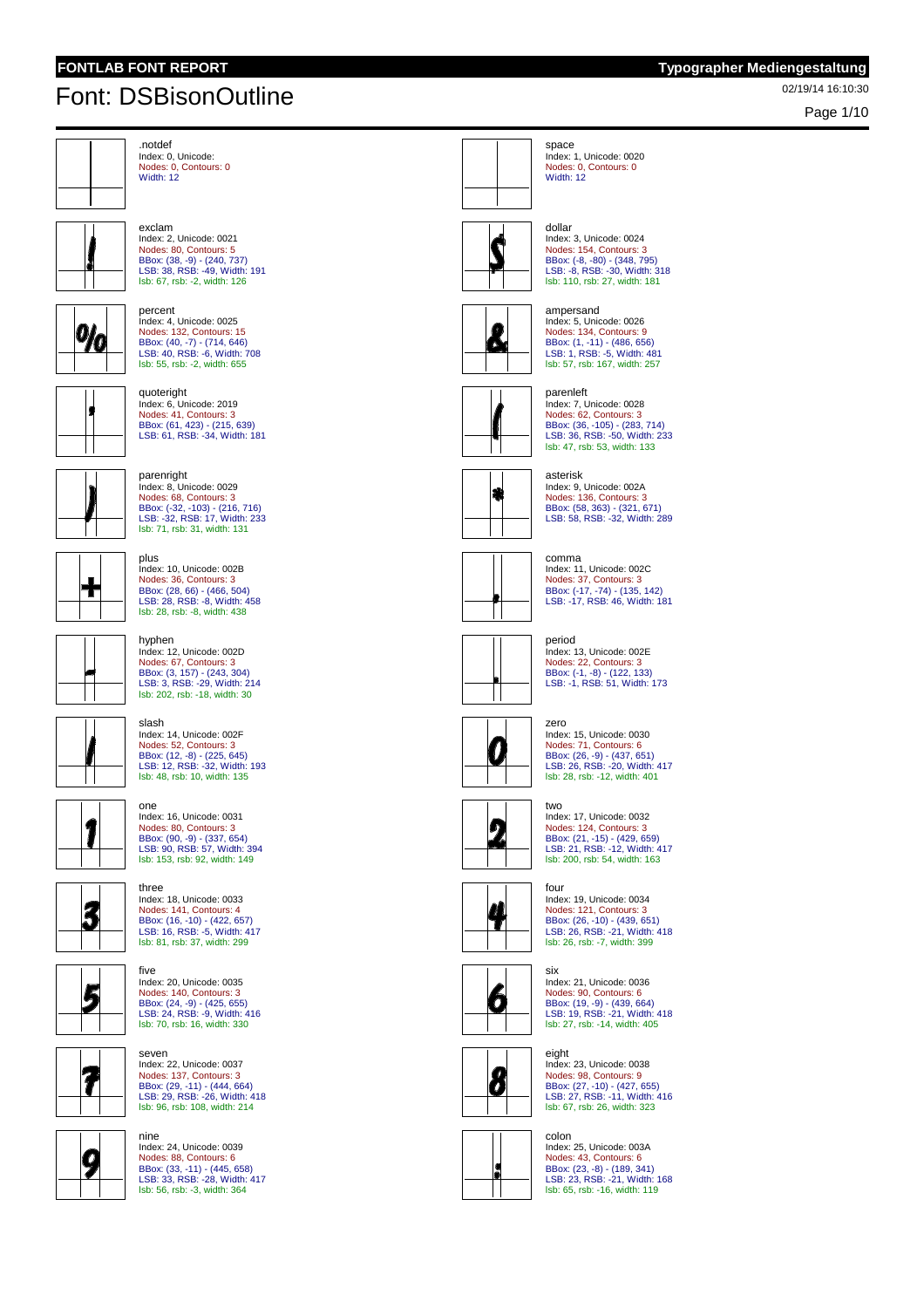Page 1/10



.notdef Index: 0, Unicode: Nodes: 0, Contours: 0 Width: 12

exclam



 $9/6$ 

Index: 2, Unicode: 0021 Nodes: 80, Contours: 5 BBox: (38, -9) - (240, 737) LSB: 38, RSB: -49, Width: 191 lsb: 67, rsb: -2, width: 126 percent

Index: 4, Unicode: 0025 Nodes: 132, Contours: 15 BBox: (40, -7) - (714, 646) LSB: 40, RSB: -6, Width: 708 lsb: 55, rsb: -2, width: 655



quoteright Index: 6, Unicode: 2019 Nodes: 41, Contours: 3 BBox: (61, 423) - (215, 639) LSB: 61, RSB: -34, Width: 181





slash

parenright Index: 8, Unicode: 0029 Nodes: 68, Contours: 3

Index: 10, Unicode: 002B Nodes: 36, Contours: 3 BBox: (28, 66) - (466, 504) LSB: 28, RSB: -8, Width: 458 lsb: 28, rsb: -8, width: 438



hyphen Index: 12, Unicode: 002D Nodes: 67, Contours: 3 BBox: (3, 157) - (243, 304) LSB: 3, RSB: -29, Width: 214 lsb: 202, rsb: -18, width: 30

Index: 14, Unicode: 002F

Nodes: 52, Contours: 3 BBox: (12, -8) - (225, 645) LSB: 12, RSB: -32, Width: 193 lsb: 48, rsb: 10, width: 135







five







seven Index: 22, Unicode: 0037 Nodes: 137, Contours: 3 BBox: (29, -11) - (444, 664) LSB: 29, RSB: -26, Width: 418 lsb: 96, rsb: 108, width: 214

Index: 20, Unicode: 0035





dollar Index: 3, Unicode: 0024 Nodes: 154, Contours: 3 BBox: (-8, -80) - (348, 795) LSB: -8, RSB: -30, Width: 318 lsb: 110, rsb: 27, width: 181

Index: 1, Unicode: 0020 Nodes: 0, Contours: 0



ampersand Index: 5, Unicode: 0026 Nodes: 134, Contours: 9 BBox: (1, -11) - (486, 656)<br>LSB: 1, RSB: -5, Width: 481<br>Isb: 57, rsb: 167, width: 257



parenleft Index: 7, Unicode: 0028 Nodes: 62, Contours: 3 BBox: (36, -105) - (283, 714) LSB: 36, RSB: -50, Width: 233 lsb: 47, rsb: 53, width: 133



Index: 9, Unicode: 002A Nodes: 136, Contours: 3 BBox: (58, 363) - (321, 671) LSB: 58, RSB: -32, Width: 289



Index: 11, Unicode: 002C Nodes: 37, Contours: 3 BBox: (-17, -74) - (135, 142) LSB: -17, RSB: 46, Width: 181

### period



Index: 13, Unicode: 002E Nodes: 22, Contours: 3 BBox: (-1, -8) - (122, 133) LSB: -1, RSB: 51, Width: 173



Index: 15, Unicode: 0030 Nodes: 71, Contours: 6 BBox: (26, -9) - (437, 651) LSB: 26, RSB: -20, Width: 417 lsb: 28, rsb: -12, width: 401



two Index: 17, Unicode: 0032 Nodes: 124, Contours: 3 BBox: (21, -15) - (429, 659) LSB: 21, RSB: -12, Width: 417 lsb: 200, rsb: 54, width: 163



four Index: 19, Unicode: 0034 Nodes: 121, Contours: 3 BBox: (26, -10) - (439, 651) LSB: 26, RSB: -21, Width: 418 lsb: 26, rsb: -7, width: 399



Index: 21, Unicode: 0036 Nodes: 90, Contours: 6 BBox: (19, -9) - (439, 664) LSB: 19, RSB: -21, Width: 418 lsb: 27, rsb: -14, width: 405



eight Index: 23, Unicode: 0038 Nodes: 98, Contours: 9 BBox: (27, -10) - (427, 655) LSB: 27, RSB: -11, Width: 416 lsb: 67, rsb: 26, width: 323



colon Index: 25, Unicode: 003A Nodes: 43, Contours: 6 BBox: (23, -8) - (189, 341) LSB: 23, RSB: -21, Width: 168 lsb: 65, rsb: -16, width: 119



space

Width: 12





comma



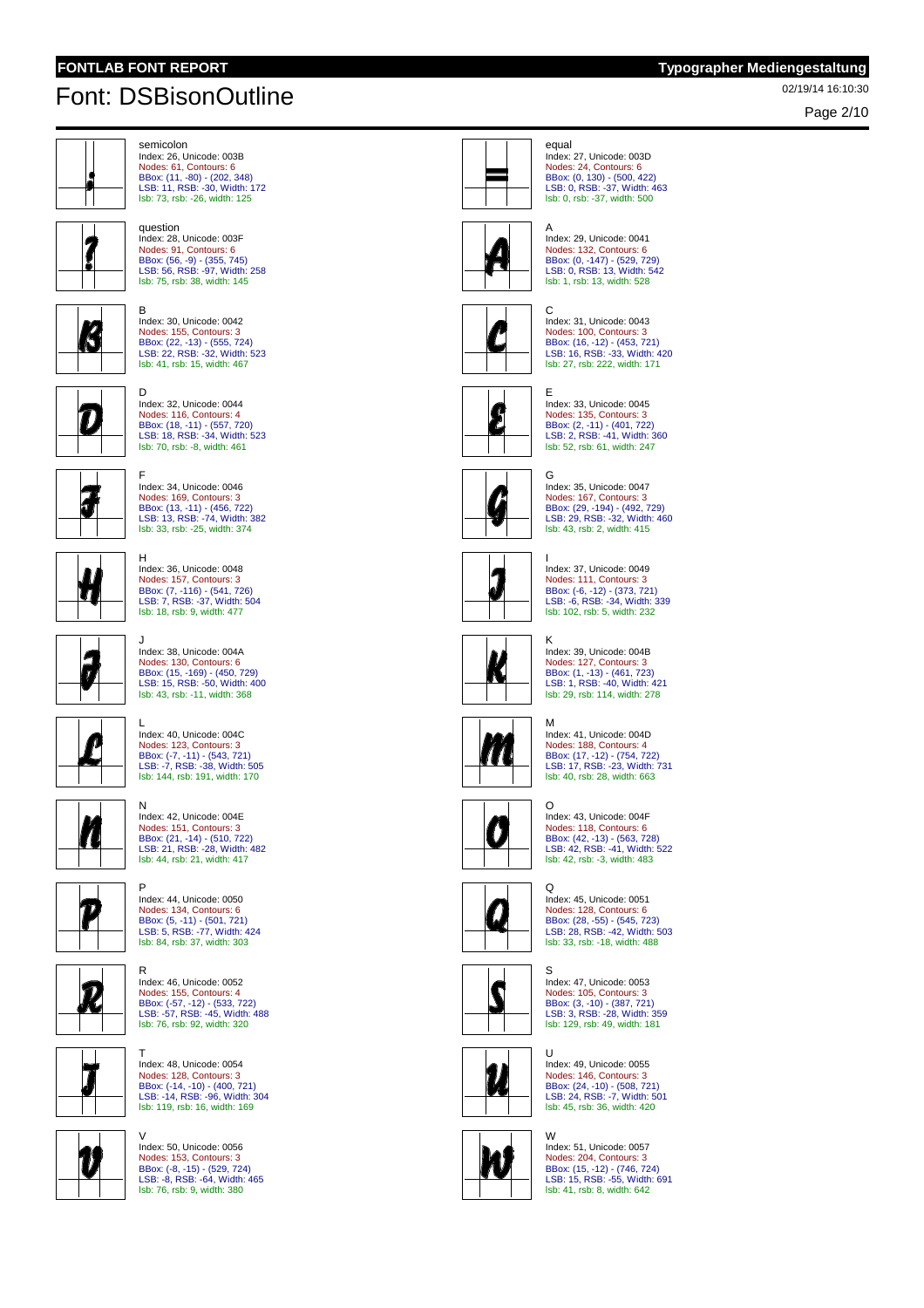question

Page 2/10



semicolon Index: 26, Unicode: 003B Nodes: 61, Contours: 6 BBox: (11, -80) - (202, 348) LSB: 11, RSB: -30, Width: 172 lsb: 73, rsb: -26, width: 125

Index: 28, Unicode: 003F Nodes: 91, Contours: 6 BBox: (56, -9) - (355, 745) LSB: 56, RSB: -97, Width: 258 lsb: 75, rsb: 38, width: 145



 $\mathcal{L}$ 

B Index: 30, Unicode: 0042 Nodes: 155, Contours: 3 BBox: (22, -13) - (555, 724)<br>LSB: 22, RSB: -32, Width: 523<br><mark>Isb: 41, rsb: 15, width: 467</mark>



D Index: 32, Unicode: 0044



J

F Index: 34, Unicode: 0046 Nodes: 169, Contours: 3 BBox: (13, -11) - (456, 722)<br>LSB: 13, RSB: -74, Width: 382<br><mark>Isb: 33, rsb: -25, width: 374</mark>



H Index: 36, Unicode: 0048 Nodes: 157, Contours: 3 BBox: (7, -116) - (541, 726) LSB: 7, RSB: -37, Width: 504 lsb: 18, rsb: 9, width: 477

Index: 38, Unicode: 004A

Nodes: 130, Contours: 6 BBox: (15, -169) - (450, 729) LSB: 15, RSB: -50, Width: 400 lsb: 43, rsb: -11, width: 368



L Index: 40, Unicode: 004C Nodes: 123, Contours: 3 BBox: (-7, -11) - (543, 721) LSB: -7, RSB: -38, Width: 505 lsb: 144, rsb: 191, width: 170

Index: 42, Unicode: 004E





N



R Index: 46, Unicode: 0052 Nodes: 155, Contours: 4 BBox: (-57, -12) - (533, 722) LSB: -57, RSB: -45, Width: 488 lsb: 76, rsb: 92, width: 320

T Index: 48, Unicode: 0054



 $\vartheta$ 

V Index: 50, Unicode: 0056

Nodes: 153, Contours: 3 BBox: (-8, -15) - (529, 724) LSB: -8, RSB: -64, Width: 465 lsb: 76, rsb: 9, width: 380

Nodes: 128, Contours: 3 BBox: (-14, -10) - (400, 721) LSB: -14, RSB: -96, Width: 304 lsb: 119, rsb: 16, width: 169

|  | equal<br>Index: 27. Unicode: 003D<br>Nodes: 24. Contours: 6<br>BBox: (0, 130) - (500, 422<br>LSB: 0, RSB: -37, Width: 4<br>Isb: 0. rsb: -37. width: 500 |
|--|---------------------------------------------------------------------------------------------------------------------------------------------------------|
|--|---------------------------------------------------------------------------------------------------------------------------------------------------------|



C

E

Index: 29, Unicode: 0041 Nodes: 132, Contours: 6 BBox: (0, -147) - (529, 729) LSB: 0, RSB: 13, Width: 542 lsb: 1, rsb: 13, width: 528

Index: 27, Unicode: 003D Nodes: 24, Contours: 6 BBox: (0, 130) - (500, 422) LSB: 0, RSB: -37, Width: 463



Index: 31, Unicode: 0043 Nodes: 100, Contours: 3 BBox: (16, -12) - (453, 721)<br>LSB: 16, RSB: -33, Width: 420<br><mark>Isb: 27, rsb: 222, width: 171</mark>

Index: 33, Unicode: 0045 Nodes: 135, Contours: 3



BBox: (2, -11) - (401, 722)<br>LSB: 2, RSB: -41, Width: 360<br><mark>Isb: 52, rsb: 61, width: 247</mark> G Index: 35, Unicode: 0047 Nodes: 167, Contours: 3 BBox: (29, -194) - (492, 729) LSB: 29, RSB: -32, Width: 460 lsb: 43, rsb: 2, width: 415



I Index: 37, Unicode: 0049 Nodes: 111, Contours: 3 BBox: (-6, -12) - (373, 721) LSB: -6, RSB: -34, Width: 339 lsb: 102, rsb: 5, width: 232



K Index: 39, Unicode: 004B Nodes: 127, Contours: 3 BBox: (1, -13) - (461, 723) LSB: 1, RSB: -40, Width: 421 lsb: 29, rsb: 114, width: 278



M Index: 41, Unicode: 004D Nodes: 188, Contours: 4 BBox: (17, -12) - (754, 722) LSB: 17, RSB: -23, Width: 731 lsb: 40, rsb: 28, width: 663



O Index: 43, Unicode: 004F Nodes: 118, Contours: 6 BBox: (42, -13) - (563, 728) LSB: 42, RSB: -41, Width: 522 lsb: 42, rsb: -3, width: 483



 $\Omega$ Index: 45, Unicode: 0051

Nodes: 128, Contours: 6 BBox: (28, -55) - (545, 723) LSB: 28, RSB: -42, Width: 503 lsb: 33, rsb: -18, width: 488 S



Index: 47, Unicode: 0053 Nodes: 105, Contours: 3 BBox: (3, -10) - (387, 721) LSB: 3, RSB: -28, Width: 359 lsb: 129, rsb: 49, width: 181



 $\mathbf{U}$ Index: 49, Unicode: 0055 Nodes: 146, Contours: 3 BBox: (24, -10) - (508, 721) LSB: 24, RSB: -7, Width: 501 lsb: 45, rsb: 36, width: 420



W Index: 51, Unicode: 0057 Nodes: 204, Contours: 3 BBox: (15, -12) - (746, 724) LSB: 15, RSB: -55, Width: 691 lsb: 41, rsb: 8, width: 642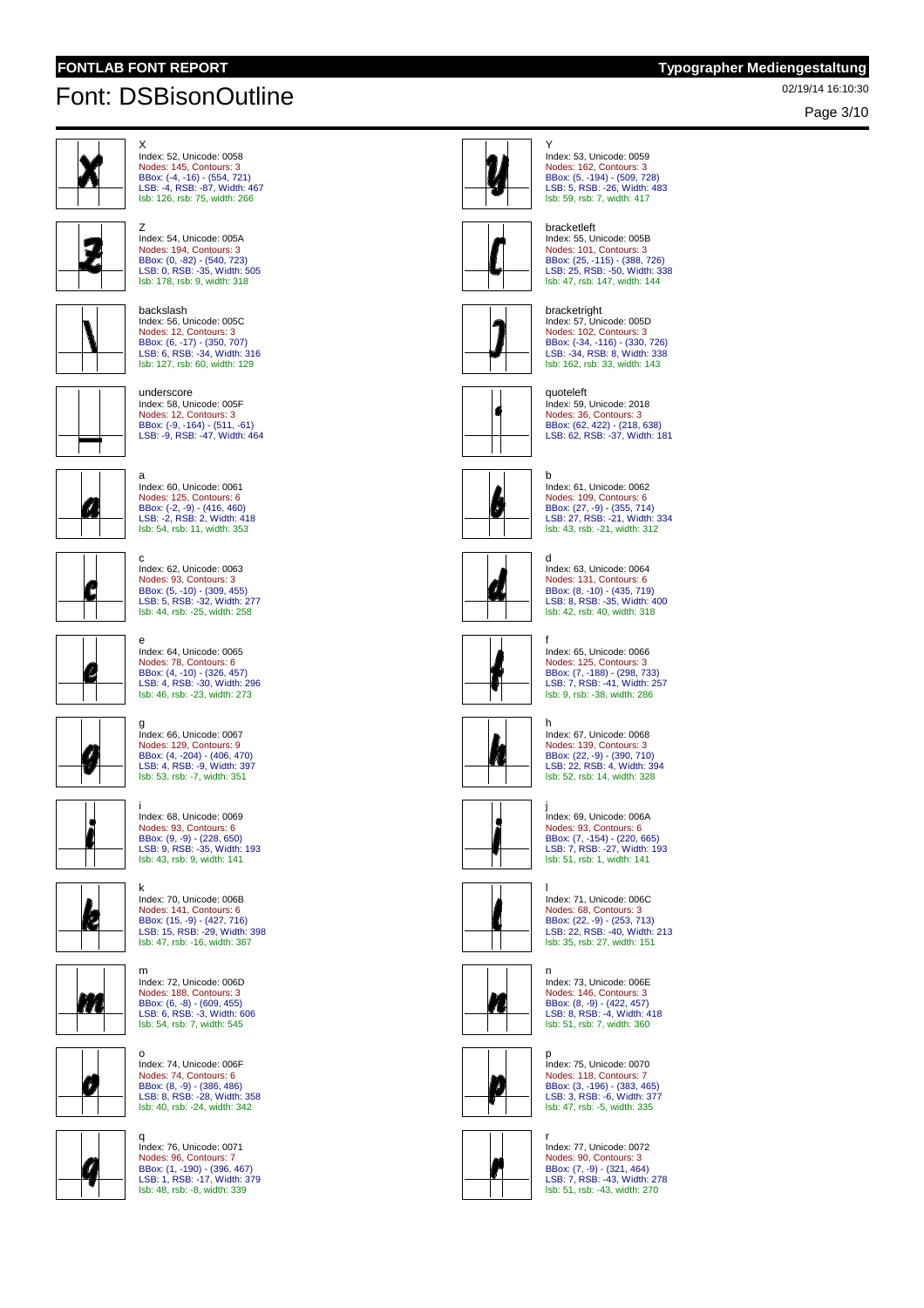Z

# 02/19/14 16:10:30 Font: DSBisonOutline

Page 3/10



X Index: 52, Unicode: 0058 Nodes: 145, Contours: 3 BBox: (-4, -16) - (554, 721) LSB: -4, RSB: -87, Width: 467 lsb: 126, rsb: 75, width: 266



BBox: (0, -82) - (540, 723) LSB: 0, RSB: -35, Width: 505 lsb: 178, rsb: 9, width: 318 backslash

Index: 54, Unicode: 005A Nodes: 194, Contours: 3



Index: 56, Unicode: 005C Nodes: 12, Contours: 3 BBox: (6, -17) - (350, 707) LSB: 6, RSB: -34, Width: 316 lsb: 127, rsb: 60, width: 129

underscore Index: 58, Unicode: 005F



Nodes: 12, Contours: 3 BBox: (-9, -164) - (511, -61) LSB: -9, RSB: -47, Width: 464 a Index: 60, Unicode: 0061



Nodes: 125, Contours: 6 BBox: (-2, -9) - (416, 460) LSB: -2, RSB: 2, Width: 418 lsb: 54, rsb: 11, width: 353



c Index: 62, Unicode: 0063 Nodes: 93, Contours: 3 BBox: (5, -10) - (309, 455) LSB: 5, RSB: -32, Width: 277 lsb: 44, rsb: -25, width: 258

e Index: 64, Unicode: 0065 Nodes: 78, Contours: 6 BBox: (4, -10) - (326, 457) LSB: 4, RSB: -30, Width: 296 lsb: 46, rsb: -23, width: 273

 $\mathcal{G}$ 



BBox: (4, -204) - (406, 470)<br>LSB: 4, RSB: -9, Width: 397<br><mark>Isb: 53, rsb: -7, width: 351</mark> i Index: 68, Unicode: 0069 Nodes: 93, Contours: 6 BBox: (9, -9) - (228, 650) LSB: 9, RSB: -35, Width: 193 lsb: 43, rsb: 9, width: 141

k Index: 70, Unicode: 006B

m Index: 72, Unicode: 006D

o Index: 74, Unicode: 006F Nodes: 74, Contours: 6 BBox: (8, -9) - (386, 486) LSB: 8, RSB: -28, Width: 358 lsb: 40, rsb: -24, width: 342

Nodes: 188, Contours: 3 BBox: (6, -8) - (609, 455) LSB: 6, RSB: -3, Width: 606 lsb: 54, rsb: 7, width: 545

Nodes: 141, Contours: 6 BBox: (15, -9) - (427, 716) LSB: 15, RSB: -29, Width: 398 lsb: 47, rsb: -16, width: 367

g Index: 66, Unicode: 0067 Nodes: 129, Contours: 9



**KA** 



Ø

q Index: 76, Unicode: 0071 Nodes: 96, Contours: 7 BBox: (1, -190) - (396, 467) LSB: 1, RSB: -17, Width: 379 lsb: 48, rsb: -8, width: 339



Y Index: 53, Unicode: 0059 Nodes: 162, Contours: 3 BBox: (5, -194) - (509, 728) LSB: 5, RSB: -26, Width: 483 lsb: 59, rsb: 7, width: 417



# bracketleft Index: 55, Unicode: 005B Nodes: 101, Contours: 3 BBox: (25, -115) - (388, 726) LSB: 25, RSB: -50, Width: 338

lsb: 47, rsb: 147, width: 144



bracketright Index: 57, Unicode: 005D Nodes: 102, Contours: 3 BBox: (-34, -116) - (330, 726) LSB: -34, RSB: 8, Width: 338 lsb: 162, rsb: 33, width: 143





b Index: 61, Unicode: 0062 Nodes: 109, Contours: 6 BBox: (27, -9) - (355, 714) LSB: 27, RSB: -21, Width: 334 lsb: 43, rsb: -21, width: 312



d Index: 63, Unicode: 0064 Nodes: 131, Contours: 6 BBox: (8, -10) - (435, 719) LSB: 8, RSB: -35, Width: 400 lsb: 42, rsb: 40, width: 318



f

Index: 65, Unicode: 0066 Nodes: 125, Contours: 3 BBox: (7, -188) - (298, 733) LSB: 7, RSB: -41, Width: 257 lsb: 9, rsb: -38, width: 286



h Index: 67, Unicode: 0068 Nodes: 139, Contours: 3 BBox: (22, -9) - (390, 710) LSB: 22, RSB: 4, Width: 394 lsb: 52, rsb: 14, width: 328



j Index: 69, Unicode: 006A Nodes: 93, Contours: 6 BBox: (7, -154) - (220, 665)<br>LSB: 7, RSB: -27, Width: 193<br>Isb: 51, rsb: 1, width: 141



l Index: 71, Unicode: 006C Nodes: 68, Contours: 3 BBox: (22, -9) - (253, 713) LSB: 22, RSB: -40, Width: 213 lsb: 35, rsb: 27, width: 151



n Index: 73, Unicode: 006E Nodes: 146, Contours: 3 BBox: (8, -9) - (422, 457) LSB: 8, RSB: -4, Width: 418 lsb: 51, rsb: 7, width: 360



p Index: 75, Unicode: 0070 Nodes: 118, Contours: 7 BBox: (3, -196) - (383, 465) LSB: 3, RSB: -6, Width: 377 lsb: 47, rsb: -5, width: 335



r Index: 77, Unicode: 0072 Nodes: 90, Contours: 3 BBox: (7, -9) - (321, 464) LSB: 7, RSB: -43, Width: 278 lsb: 51, rsb: -43, width: 270



Nodes: 36, Contours: 3 BBox: (62, 422) - (218, 638) LSB: 62, RSB: -37, Width: 181



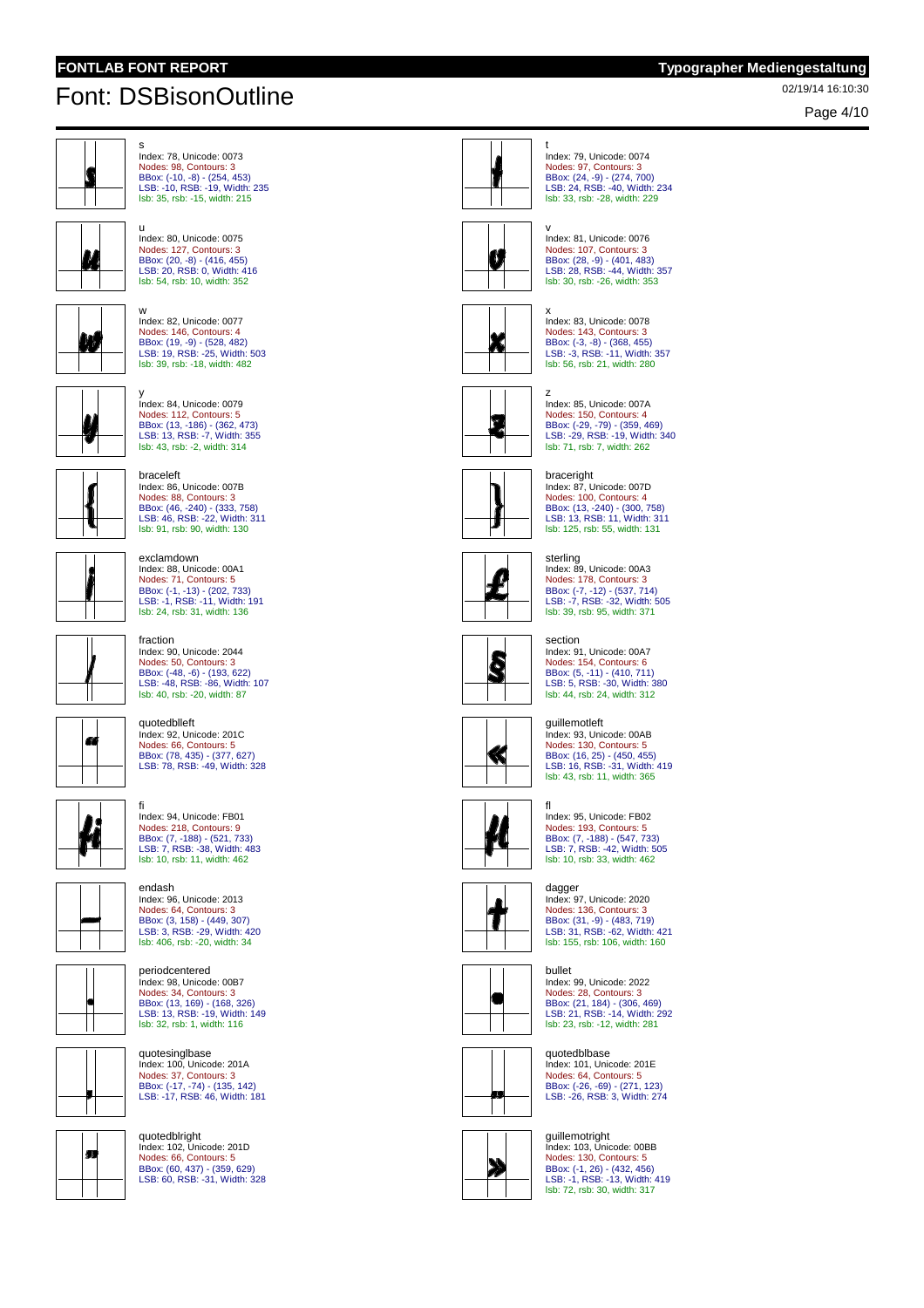u

# 02/19/14 16:10:30 Font: DSBisonOutline

Page 4/10



s Index: 78, Unicode: 0073 Nodes: 98, Contours: 3 BBox: (-10, -8) - (254, 453) LSB: -10, RSB: -19, Width: 235 lsb: 35, rsb: -15, width: 215



 $\alpha$ 

Index: 80, Unicode: 0075 Nodes: 127, Contours: 3 BBox: (20, -8) - (416, 455) LSB: 20, RSB: 0, Width: 416 lsb: 54, rsb: 10, width: 352





BBox: (19, -9) - (528, 482) LSB: 19, RSB: -25, Width: 503 lsb: 39, rsb: -18, width: 482



Index: 86, Unicode: 007B

Nodes: 88, Contours: 3 BBox: (46, -240) - (333, 758) LSB: 46, RSB: -22, Width: 311 lsb: 91, rsb: 90, width: 130

Index: 88, Unicode: 00A1 Nodes: 71, Contours: 5 BBox: (-1, -13) - (202, 733) LSB: -1, RSB: -11, Width: 191 lsb: 24, rsb: 31, width: 136

braceleft

exclamdown

quotedblleft Index: 92, Unicode: 201C Nodes: 66, Contours: 5 BBox: (78, 435) - (377, 627) LSB: 78, RSB: -49, Width: 328

endash

Index: 96, Unicode: 2013

periodcentered Index: 98, Unicode: 00B7 Nodes: 34, Contours: 3 BBox: (13, 169) - (168, 326) LSB: 13, RSB: -19, Width: 149 lsb: 32, rsb: 1, width: 116

quotesinglbase Index: 100, Unicode: 201A Nodes: 37, Contours: 3 BBox: (-17, -74) - (135, 142) LSB: -17, RSB: 46, Width: 181

Nodes: 64, Contours: 3 BBox: (3, 158) - (449, 307) LSB: 3, RSB: -29, Width: 420 lsb: 406, rsb: -20, width: 34





fraction Index: 90, Unicode: 2044 Nodes: 50, Contours: 3 BBox: (-48, -6) - (193, 622) LSB: -48, RSB: -86, Width: 107 lsb: 40, rsb: -20, width: 87



fi ndex: 94, Unicode: FB01 K Nodes: 218, Contours: 9 BBox: (7, -188) - (521, 733) LSB: 7, RSB: -38, Width: 483 lsb: 10, rsb: 11, width: 462







m

quotedblright Index: 102, Unicode: 201D Nodes: 66, Contours: 5 BBox: (60, 437) - (359, 629) LSB: 60, RSB: -31, Width: 328



t Index: 79, Unicode: 0074 Nodes: 97, Contours: 3 BBox: (24, -9) - (274, 700) LSB: 24, RSB: -40, Width: 234 lsb: 33, rsb: -28, width: 229



v Index: 81, Unicode: 0076 Nodes: 107, Contours: 3 BBox: (28, -9) - (401, 483) LSB: 28, RSB: -44, Width: 357 lsb: 30, rsb: -26, width: 353



x Index: 83, Unicode: 0078 Nodes: 143, Contours: 3 BBox: (-3, -8) - (368, 455) LSB: -3, RSB: -11, Width: 357 lsb: 56, rsb: 21, width: 280



z Index: 85, Unicode: 007A Nodes: 150, Contours: 4 BBox: (-29, -79) - (359, 469) LSB: -29, RSB: -19, Width: 340 lsb: 71, rsb: 7, width: 262





Index: 87, Unicode: 007D Nodes: 100, Contours: 4 BBox: (13, -240) - (300, 758) LSB: 13, RSB: 11, Width: 311 lsb: 125, rsb: 55, width: 131



sterling Index: 89, Unicode: 00A3 Nodes: 178, Contours: 3 BBox: (-7, -12) - (537, 714) LSB: -7, RSB: -32, Width: 505 lsb: 39, rsb: 95, width: 371

#### section



Index: 91, Unicode: 00A7 Nodes: 154, Contours: 6 BBox: (5, -11) - (410, 711) LSB: 5, RSB: -30, Width: 380 lsb: 44, rsb: 24, width: 312

#### guillemotleft Index: 93, Unicode: 00AB



Nodes: 130, Contours: 5 BBox: (16, 25) - (450, 455) LSB: 16, RSB: -31, Width: 419 lsb: 43, rsb: 11, width: 365 fl



Τ

..<br>Index: 95, Unicode: FB02 Nodes: 193, Contours: 5 BBox: (7, -188) - (547, 733) LSB: 7, RSB: -42, Width: 505 lsb: 10, rsb: 33, width: 462

### dagger

Index: 97, Unicode: 2020 Nodes: 136, Contours: 3 BBox: (31, -9) - (483, 719) LSB: 31, RSB: -62, Width: 421 lsb: 155, rsb: 106, width: 160



bullet Index: 99, Unicode: 2022 Nodes: 28, Contours: 3 BBox: (21, 184) - (306, 469) LSB: 21, RSB: -14, Width: 292 lsb: 23, rsb: -12, width: 281



Nodes: 64, Contours: 5 BBox: (-26, -69) - (271, 123) LSB: -26, RSB: 3, Width: 274





guillemotright Index: 103, Unicode: 00BB Nodes: 130, Contours: 5 BBox: (-1, 26) - (432, 456) LSB: -1, RSB: -13, Width: 419 lsb: 72, rsb: 30, width: 317

quotedblbase Index: 101, Unicode: 201E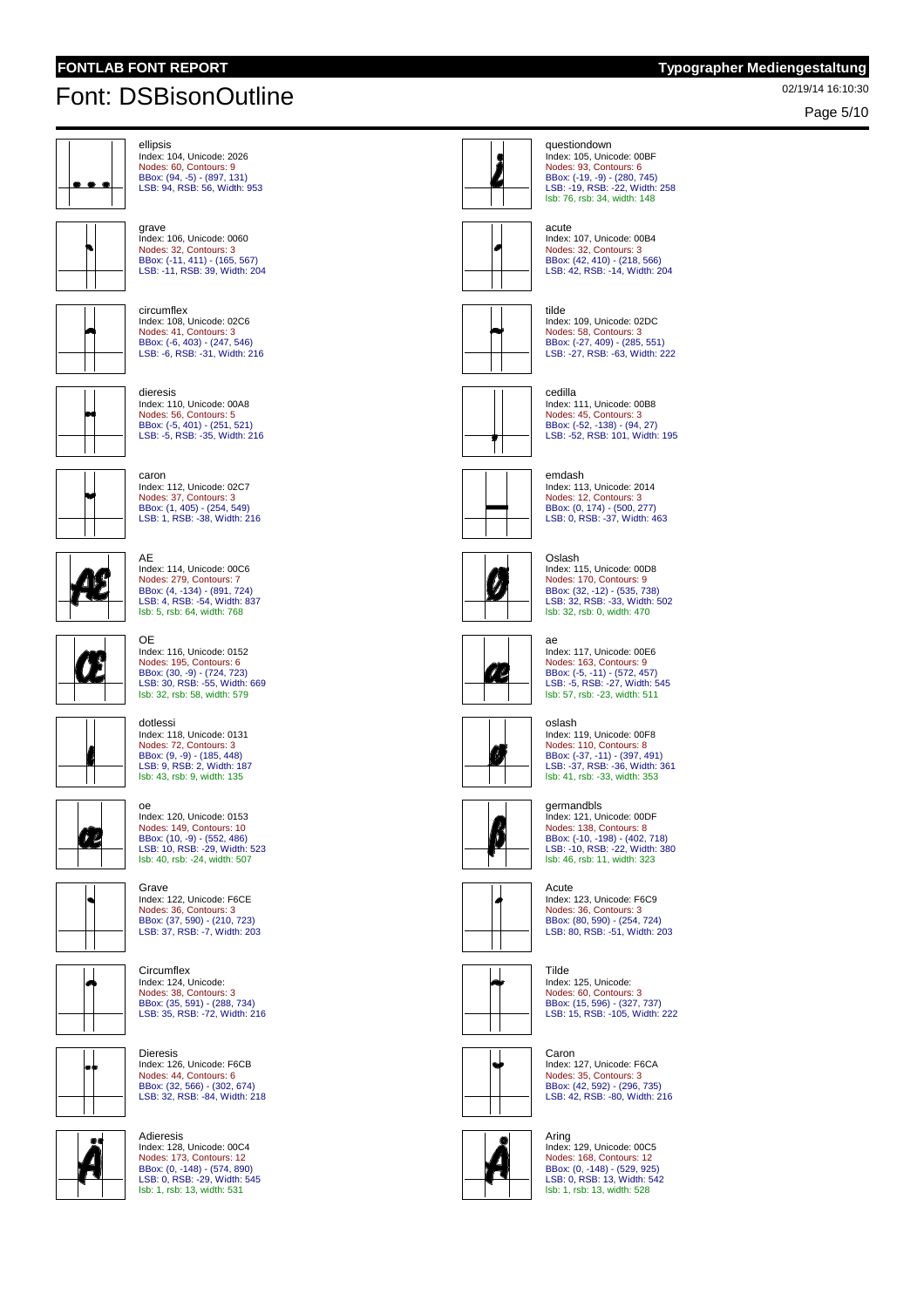ellipsis

# 02/19/14 16:10:30 Font: DSBisonOutline

Page 5/10





Index: 116, Unicode: 0152 Nodes: 195, Contours: 6 BBox: (30, -9) - (724, 723) LSB: 30, RSB: -55, Width: 669 lsb: 32, rsb: 58, width: 579





Index: 118, Unicode: 0131

dotlessi







**Circumflex** Index: 124, Unicode: Nodes: 38, Contours: 3 BBox: (35, 591) - (288, 734) LSB: 35, RSB: -72, Width: 216



Dieresis Index: 126, Unicode: F6CB Nodes: 44, Contours: 6 BBox: (32, 566) - (302, 674) LSB: 32, RSB: -84, Width: 218



**Adieresis** Index: 128, Unicode: 00C4 Nodes: 173, Contours: 12 BBox: (0, -148) - (574, 890) LSB: 0, RSB: -29, Width: 545 lsb: 1, rsb: 13, width: 531



oslash Index: 119, Unicode: 00F8 Nodes: 110, Contours: 8 BBox: (-37, -11) - (397, 491) LSB: -37, RSB: -36, Width: 361 lsb: 41, rsb: -33, width: 353

questiondown



Ø.

12

germandbls Index: 121, Unicode: 00DF Nodes: 138, Contours: 8 BBox: (-10, -198) - (402, 718) LSB: -10, RSB: -22, Width: 380 lsb: 46, rsb: 11, width: 323

#### Acute

Index: 123, Unicode: F6C9 Nodes: 36, Contours: 3 BBox: (80, 590) - (254, 724) LSB: 80, RSB: -51, Width: 203



Index: 125, Unicode: Nodes: 60, Contours: 3 BBox: (15, 596) - (327, 737) LSB: 15, RSB: -105, Width: 222

Caron Index: 127, Unicode: F6CA Nodes: 35, Contours: 3 BBox: (42, 592) - (296, 735) LSB: 42, RSB: -80, Width: 216



Aring Index: 129, Unicode: 00C5 Nodes: 168, Contours: 12 BBox: (0, -148) - (529, 925) LSB: 0, RSB: 13, Width: 542 lsb: 1, rsb: 13, width: 528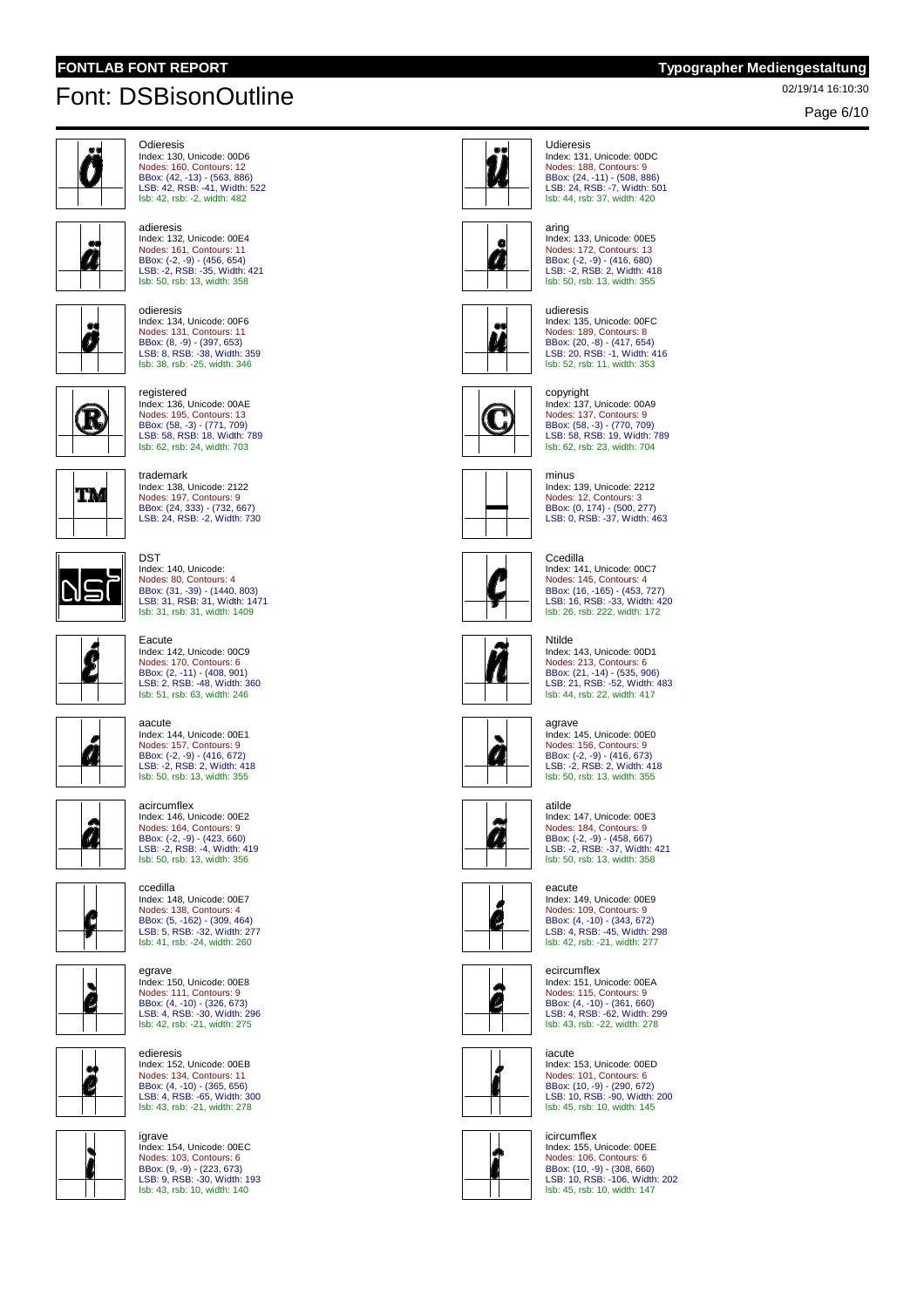

Page 6/10



```
Odieresis
Index: 130, Unicode: 00D6
Nodes: 160, Contours: 12
BBox: (42, -13) - (563, 886)
LSB: 42, RSB: -41, Width: 522
lsb: 42, rsb: -2, width: 482
```


adieresis Index: 132, Unicode: 00E4 Nodes: 161, Contours: 11 BBox: (-2, -9) - (456, 654) LSB: -2, RSB: -35, Width: 421 lsb: 50, rsb: 13, width: 358



odieresis Index: 134, Unicode: 00F6 Nodes: 131, Contours: 11 BBox: (8, -9) - (397, 653)<br>LSB: 8, RSB: -38, Width: 359<br><mark>Isb: 38, rsb: -25, width: 346</mark>



registered Index: 136, Unicode: 00AE Nodes: 195, Contours: 13 BBox: (58, -3) - (771, 709) LSB: 58, RSB: 18, Width: 789



trademark Index: 138, Unicode: 2122 Nodes: 197, Contours: 9 BBox: (24, 333) - (732, 667) LSB: 24, RSB: -2, Width: 730

Index: 140, Unicode:

DST

aacute

lsb: 62, rsb: 24, width: 703



Nodes: 80, Contours: 4 BBox: (31, -39) - (1440, 803) LSB: 31, RSB: 31, Width: 1471 lsb: 31, rsb: 31, width: 1409 Eacute Index: 142, Unicode: 00C9 Nodes: 170, Contours: 6 BBox: (2, -11) - (408, 901) LSB: 2, RSB: -48, Width: 360 lsb: 51, rsb: 63, width: 246



 $\int_{\mathcal{C}}$ 

Nodes: 157, Contours: 9 BBox: (-2, -9) - (416, 672) LSB: -2, RSB: 2, Width: 418 lsb: 50, rsb: 13, width: 355 acircumflex Index: 146, Unicode: 00E2 Nodes: 164, Contours: 9

Index: 144, Unicode: 00E1



â









egrave Index: 150, Unicode: 00E8 Nodes: 111, Contours: 9 BBox: (4, -10) - (326, 673) LSB: 4, RSB: -30, Width: 296 lsb: 42, rsb: -21, width: 275

edieresis Index: 152, Unicode: 00EB Nodes: 134, Contours: 11 BBox: (4, -10) - (365, 656) LSB: 4, RSB: -65, Width: 300 lsb: 43, rsb: -21, width: 278







### aring Index: 133, Unicode: 00E5 Nodes: 172, Contours: 13 BBox: (-2, -9) - (416, 680) LSB: -2, RSB: 2, Width: 418 lsb: 50, rsb: 13, width: 355

BBox: (24, -11) - (508, 886) LSB: 24, RSB: -7, Width: 501



udieresis Index: 135, Unicode: 00FC Nodes: 189, Contours: 8 BBox: (20, -8) - (417, 654) LSB: 20, RSB: -1, Width: 416 lsb: 52, rsb: 11, width: 353



Index: 137, Unicode: 00A9 Nodes: 137, Contours: 9 BBox: (58, -3) - (770, 709) LSB: 58, RSB: 19, Width: 789 lsb: 62, rsb: 23, width: 704



Index: 139, Unicode: 2212 Nodes: 12, Contours: 3 BBox: (0, 174) - (500, 277) LSB: 0, RSB: -37, Width: 463

## **Ccedilla**

copyright



Index: 141, Unicode: 00C7 Nodes: 145, Contours: 4 BBox: (16, -165) - (453, 727) LSB: 16, RSB: -33, Width: 420 lsb: 26, rsb: 222, width: 172

### Ntilde



Index: 143, Unicode: 00D1 Nodes: 213, Contours: 6 BBox: (21, -14) - (535, 906) LSB: 21, RSB: -52, Width: 483 lsb: 44, rsb: 22, width: 417

### agrave



Index: 145, Unicode: 00E0 Nodes: 156, Contours: 9 BBox: (-2, -9) - (416, 673)<br>LSB: -2, RSB: 2, Width: 418<br><mark>lsb: 50, rsb: 13, width: 355</mark>

## atilde



Ø

Index: 147, Unicode: 00E3 Nodes: 184, Contours: 9 BBox: (-2, -9) - (458, 667) LSB: -2, RSB: -37, Width: 421 lsb: 50, rsb: 13, width: 358

#### eacute

Index: 149, Unicode: 00E9 Nodes: 109, Contours: 9 BBox: (4, -10) - (343, 672) LSB: 4, RSB: -45, Width: 298 lsb: 42, rsb: -21, width: 277

#### ecircumflex



Index: 151, Unicode: 00EA Nodes: 115, Contours: 9 BBox: (4, -10) - (361, 660) LSB: 4, RSB: -62, Width: 299 lsb: 43, rsb: -22, width: 278



iacute Index: 153, Unicode: 00ED Nodes: 101, Contours: 6 BBox: (10, -9) - (290, 672) LSB: 10, RSB: -90, Width: 200 lsb: 45, rsb: 10, width: 145

#### icircumflex



Index: 155, Unicode: 00EE Nodes: 106, Contours: 6 BBox: (10, -9) - (308, 660) LSB: 10, RSB: -106, Width: 202 lsb: 45, rsb: 10, width: 147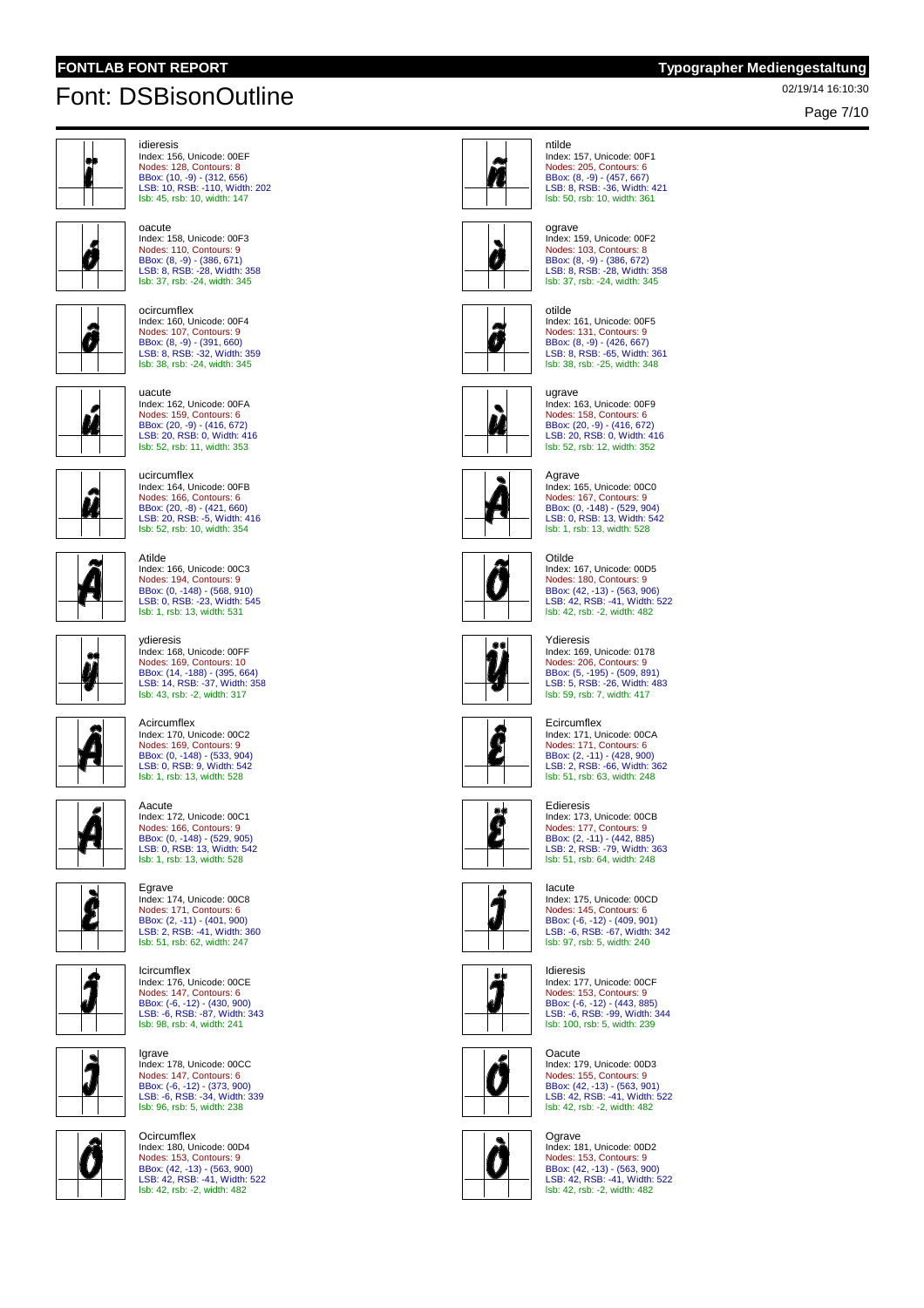Page 7/10



idieresis Index: 156, Unicode: 00EF Nodes: 128, Contours: 8 BBox: (10, -9) - (312, 656) LSB: 10, RSB: -110, Width: 202 lsb: 45, rsb: 10, width: 147







ocircumflex Index: 160, Unicode: 00F4 Nodes: 107, Contours: 9 BBox: (8, -9) - (391, 660) LSB: 8, RSB: -32, Width: 359 lsb: 38, rsb: -24, width: 345



uacute Index: 162, Unicode: 00FA Nodes: 159, Contours: 6 BBox: (20, -9) - (416, 672) LSB: 20, RSB: 0, Width: 416 lsb: 52, rsb: 11, width: 353



### ucircumflex Index: 164, Unicode: 00FB Nodes: 166, Contours: 6 BBox: (20, -8) - (421, 660) LSB: 20, RSB: -5, Width: 416 lsb: 52, rsb: 10, width: 354



Q

Atilde Index: 166, Unicode: 00C3 Nodes: 194, Contours: 9 BBox: (0, -148) - (568, 910) LSB: 0, RSB: -23, Width: 545 lsb: 1, rsb: 13, width: 531



Acircumflex Index: 170, Unicode: 00C2 Nodes: 169, Contours: 9

Index: 168, Unicode: 00FF Nodes: 169, Contours: 10 BBox: (14, -188) - (395, 664) LSB: 14, RSB: -37, Width: 358 lsb: 43, rsb: -2, width: 317



# BBox: (0, -148) - (533, 904)<br>LSB: 0, RSB: 9, Width: 542<br><mark>lsb: 1, rsb: 13, width: 528</mark> Aacute Index: 172, Unicode: 00C1



4

Nodes: 166, Contours: 9 BBox: (0, -148) - (529, 905) LSB: 0, RSB: 13, Width: 542 lsb: 1, rsb: 13, width: 528 Egrave



Icircumflex Index: 176, Unicode: 00CE Nodes: 147, Contours: 6 BBox: (-6, -12) - (430, 900) LSB: -6, RSB: -87, Width: 343 lsb: 98, rsb: 4, width: 241



N

lsb: 96, rsb: 5, width: 238 Ocircumflex Index: 180, Unicode: 00D4

Igrave Index: 178, Unicode: 00CC Nodes: 147, Contours: 6 BBox: (-6, -12) - (373, 900) LSB: -6, RSB: -34, Width: 339





ntilde Index: 157, Unicode: 00F1 Nodes: 205, Contours: 6 BBox: (8, -9) - (457, 667) LSB: 8, RSB: -36, Width: 421 lsb: 50, rsb: 10, width: 361



ograve Index: 159, Unicode: 00F2 Nodes: 103, Contours: 8 BBox: (8, -9) - (386, 672) LSB: 8, RSB: -28, Width: 358 lsb: 37, rsb: -24, width: 345



otilde Index: 161, Unicode: 00F5 Nodes: 131, Contours: 9 BBox: (8, -9) - (426, 667)<br>LSB: 8, RSB: -65, Width: 361<br>Isb: 38, rsb: -25, width: 348



ugrave Index: 163, Unicode: 00F9 Nodes: 158, Contours: 6

BBox: (20, -9) - (416, 672) LSB: 20, RSB: 0, Width: 416 lsb: 52, rsb: 12, width: 352

#### Agrave Index: 165, Unicode: 00C0

 $\mathbf Q$  $\Delta$ Nodes: 167, Contours: 9 BBox: (0, -148) - (529, 904) LSB: 0, RSB: 13, Width: 542  $\sqrt{2}$ lsb: 1, rsb: 13, width: 528



Otilde Index: 167, Unicode: 00D5 Nodes: 180, Contours: 9 BBox: (42, -13) - (563, 906) LSB: 42, RSB: -41, Width: 522 lsb: 42, rsb: -2, width: 482



Index: 169, Unicode: 0178 Nodes: 206, Contours: 9 BBox: (5, -195) - (509, 891) LSB: 5, RSB: -26, Width: 483 lsb: 59, rsb: 7, width: 417

Î



Nodes: 177, Contours: 9 BBox: (2, -11) - (442, 885) LSB: 2, RSB: -79, Width: 363 lsb: 51, rsb: 64, width: 248

Nodes: 145, Contours: 6 BBox: (-6, -12) - (409, 901) LSB: -6, RSB: -67, Width: 342 lsb: 97, rsb: 5, width: 240



Ő

Index: 177, Unicode: 00CF Nodes: 153, Contours: 9 BBox: (-6, -12) - (443, 885) LSB: -6, RSB: -99, Width: 344 lsb: 100, rsb: 5, width: 239





Index: 181, Unicode: 00D2 Nodes: 153, Contours: 9 BBox: (42, -13) - (563, 900) LSB: 42, RSB: -41, Width: 522 lsb: 42, rsb: -2, width: 482



Ecircumflex



Index: 171, Unicode: 00CA





Edieresis Index: 173, Unicode: 00CB

Iacute

Index: 175, Unicode: 00CD

Idieresis



Oacute Index: 179, Unicode: 00D3 Nodes: 155, Contours: 9 BBox: (42, -13) - (563, 901) LSB: 42, RSB: -41, Width: 522

Ø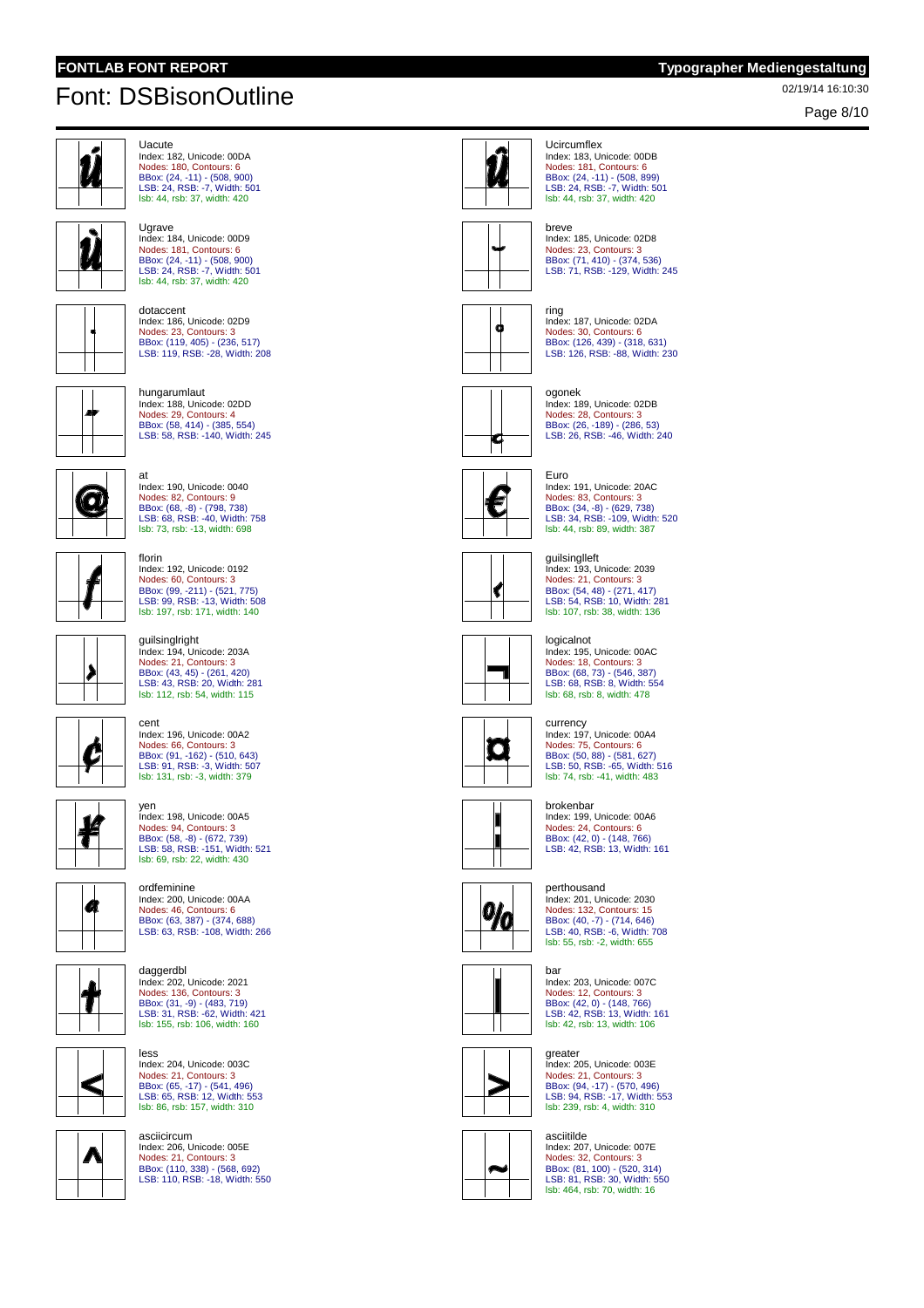**U**grave

# 02/19/14 16:10:30 Font: DSBisonOutline

Page 8/10



```
Uacute
Index: 182, Unicode: 00DA
Nodes: 180, Contours: 6
BBox: (24, -11) - (508, 900)
LSB: 24, RSB: -7, Width: 501
lsb: 44, rsb: 37, width: 420
```


dotaccent Index: 186, Unicode: 02D9 Nodes: 23, Contours: 3 BBox: (119, 405) - (236, 517) LSB: 119, RSB: -28, Width: 208

Index: 184, Unicode: 00D9 Nodes: 181, Contours: 6 BBox: (24, -11) - (508, 900) LSB: 24, RSB: -7, Width: 501 lsb: 44, rsb: 37, width: 420



hungarumlaut Index: 188, Unicode: 02DD Nodes: 29, Contours: 4 BBox: (58, 414) - (385, 554) LSB: 58, RSB: -140, Width: 245



at Index: 190, Unicode: 0040 Nodes: 82, Contours: 9 BBox: (68, -8) - (798, 738) LSB: 68, RSB: -40, Width: 758 lsb: 73, rsb: -13, width: 698

Index: 192, Unicode: 0192

Nodes: 60, Contours: 3 BBox: (99, -211) - (521, 775) LSB: 99, RSB: -13, Width: 508 lsb: 197, rsb: 171, width: 140



guilsinglright Index: 194, Unicode: 203A Nodes: 21, Contours: 3 BBox: (43, 45) - (261, 420) LSB: 43, RSB: 20, Width: 281 lsb: 112, rsb: 54, width: 115

cent Index: 196, Unicode: 00A2



∯

Nodes: 66, Contours: 3 BBox: (91, -162) - (510, 643) LSB: 91, RSB: -3, Width: 507 lsb: 131, rsb: -3, width: 379

florin



yen Index: 198, Unicode: 00A5 Nodes: 94, Contours: 3 BBox: (58, -8) - (672, 739) LSB: 58, RSB: -151, Width: 521 lsb: 69, rsb: 22, width: 430



daggerdbl Index: 202, Unicode: 2021 Nodes: 136, Contours: 3 BBox: (31, -9) - (483, 719) LSB: 31, RSB: -62, Width: 421 lsb: 155, rsb: 106, width: 160

less



าก

Nodes: 21, Contours: 3 BBox: (65, -17) - (541, 496) LSB: 65, RSB: 12, Width: 553 lsb: 86, rsb: 157, width: 310 asciicircum Index: 206, Unicode: 005E Nodes: 21, Contours: 3 BBox: (110, 338) - (568, 692) LSB: 110, RSB: -18, Width: 550

Index: 204, Unicode: 003C





**Ucircumflex** 



breve Index: 185, Unicode: 02D8 Nodes: 23, Contours: 3 BBox: (71, 410) - (374, 536) LSB: 71, RSB: -129, Width: 245



ring Index: 187, Unicode: 02DA Nodes: 30, Contours: 6 BBox: (126, 439) - (318, 631) LSB: 126, RSB: -88, Width: 230



C



Euro Index: 191, Unicode: 20AC Nodes: 83, Contours: 3 BBox: (34, -8) - (629, 738) LSB: 34, RSB: -109, Width: 520 lsb: 44, rsb: 89, width: 387







currency Index: 197, Unicode: 00A4 Nodes: 75, Contours: 6 BBox: (50, 88) - (581, 627) LSB: 50, RSB: -65, Width: 516 lsb: 74, rsb: -41, width: 483





 $\frac{9}{6}$ 

Nodes: 12, Contours: 3 BBox: (42, 0) - (148, 766) LSB: 42, RSB: 13, Width: 161 lsb: 42, rsb: 13, width: 106





Index: 207, Unicode: 007E Nodes: 32, Contours: 3 BBox: (81, 100) - (520, 314) LSB: 81, RSB: 30, Width: 550 lsb: 464, rsb: 70, width: 16













Index: 195, Unicode: 00AC Nodes: 18, Contours: 3 BBox: (68, 73) - (546, 387) LSB: 68, RSB: 8, Width: 554 lsb: 68, rsb: 8, width: 478









Nodes: 132, Contours: 15 BBox: (40, -7) - (714, 646) LSB: 40, RSB: -6, Width: 708 lsb: 55, rsb: -2, width: 655



greater

Index: 205, Unicode: 003E Nodes: 21, Contours: 3 BBox: (94, -17) - (570, 496) LSB: 94, RSB: -17, Width: 553 lsb: 239, rsb: 4, width: 310



asciitilde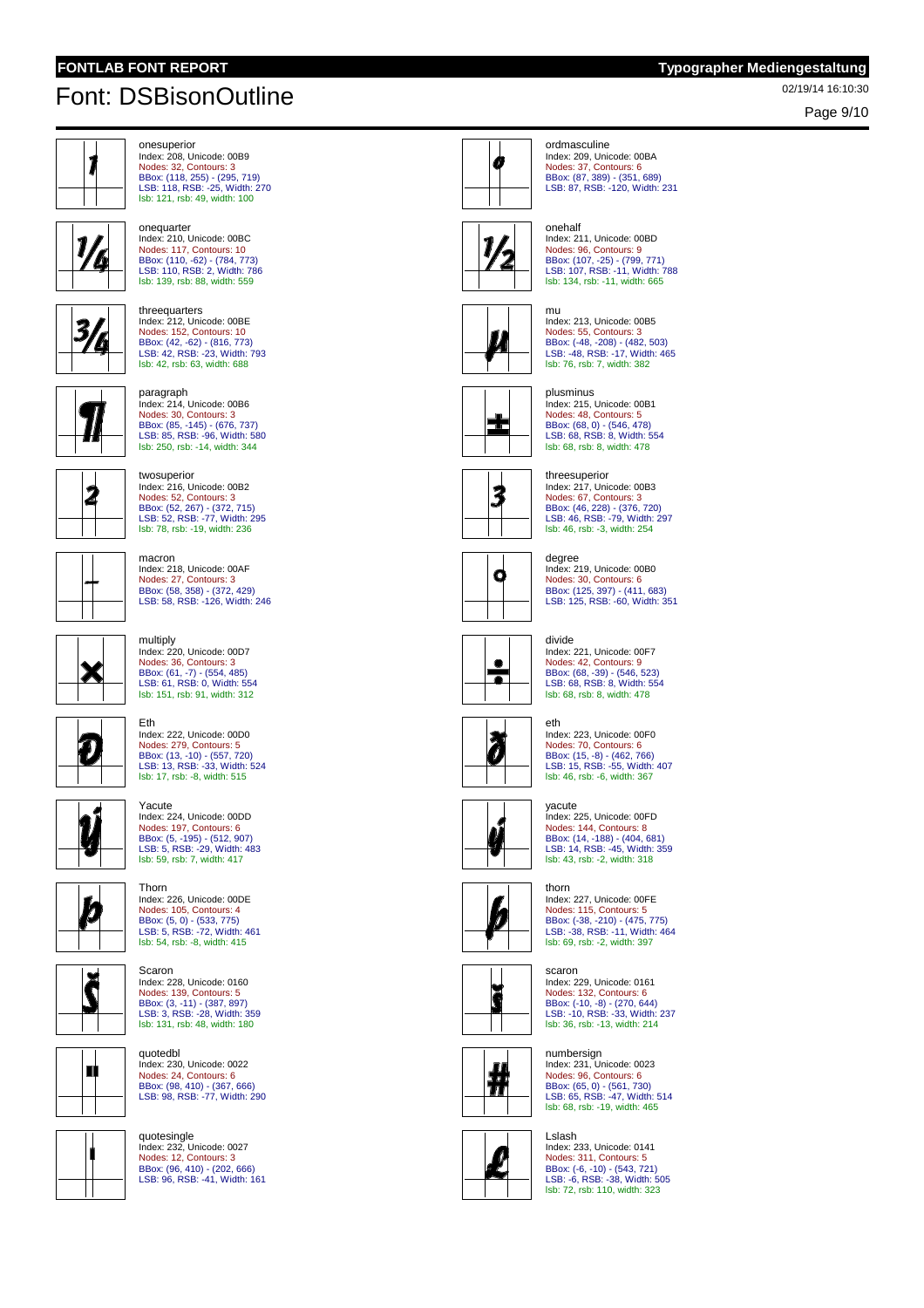Page 9/10



```
onesuperior
Index: 208, Unicode: 00B9
Nodes: 32, Contours: 3
BBox: (118, 255) - (295, 719)
LSB: 118, RSB: -25, Width: 270
lsb: 121, rsb: 49, width: 100
```


onequarter Index: 210, Unicode: 00BC Nodes: 117, Contours: 10 BBox: (110, -62) - (784, 773) LSB: 110, RSB: 2, Width: 786 lsb: 139, rsb: 88, width: 559



threequarters Index: 212, Unicode: 00BE Nodes: 152, Contours: 10 BBox: (42, -62) - (816, 773) LSB: 42, RSB: -23, Width: 793 lsb: 42, rsb: 63, width: 688



paragraph Index: 214, Unicode: 00B6 Nodes: 30, Contours: 3 BBox: (85, -145) - (676, 737) LSB: 85, RSB: -96, Width: 580 lsb: 250, rsb: -14, width: 344



Index: 216, Unicode: 00B2 Nodes: 52, Contours: 3 BBox: (52, 267) - (372, 715) LSB: 52, RSB: -77, Width: 295 lsb: 78, rsb: -19, width: 236 macron Index: 218, Unicode: 00AF Nodes: 27, Contours: 3 BBox: (58, 358) - (372, 429) LSB: 58, RSB: -126, Width: 246

Index: 220, Unicode: 00D7 Nodes: 36, Contours: 3 BBox: (61, -7) - (554, 485) LSB: 61, RSB: 0, Width: 554 lsb: 151, rsb: 91, width: 312

Index: 222, Unicode: 00D0

Nodes: 279, Contours: 5 BBox: (13, -10) - (557, 720) LSB: 13, RSB: -33, Width: 524 lsb: 17, rsb: -8, width: 515

twosuperior

multiply



 $\pi$ 

 $\bm{v}$ 



Eth



 $\tilde{\bm{\delta}}$ 

Nodes: 197, Contours: 6 BBox: (5, -195) - (512, 907) LSB: 5, RSB: -29, Width: 483 lsb: 59, rsb: 7, width: 417 Thorn Index: 226, Unicode: 00DE



Scaron Index: 228, Unicode: 0160 Nodes: 139, Contours: 5 BBox: (3, -11) - (387, 897) LSB: 3, RSB: -28, Width: 359 lsb: 131, rsb: 48, width: 180

Index: 230, Unicode: 0022 Nodes: 24, Contours: 6 BBox: (98, 410) - (367, 666) LSB: 98, RSB: -77, Width: 290

quotedbl



quotesingle Index: 232, Unicode: 0027 Nodes: 12, Contours: 3 BBox: (96, 410) - (202, 666) LSB: 96, RSB: -41, Width: 161







onehalf Index: 211, Unicode: 00BD Nodes: 96, Contours: 9 BBox: (107, -25) - (799, 771) LSB: 107, RSB: -11, Width: 788 lsb: 134, rsb: -11, width: 665



mu Index: 213, Unicode: 00B5 Nodes: 55, Contours: 3 BBox: (-48, -208) - (482, 503) LSB: -48, RSB: -17, Width: 465 lsb: 76, rsb: 7, width: 382

plusminus





Nodes: 30, Contours: 6 BBox: (125, 397) - (411, 683) LSB: 125, RSB: -60, Width: 351





divide Index: 221, Unicode: 00F7 Nodes: 42, Contours: 9 BBox: (68, -39) - (546, 523) LSB: 68, RSB: 8, Width: 554 lsb: 68, rsb: 8, width: 478



Index: 223, Unicode: 00F0 Nodes: 70, Contours: 6 BBox: (15, -8) - (462, 766) LSB: 15, RSB: -55, Width: 407 lsb: 46, rsb: -6, width: 367



Index: 225, Unicode: 00FD Nodes: 144, Contours: 8 BBox: (14, -188) - (404, 681) LSB: 14, RSB: -45, Width: 359 lsb: 43, rsb: -2, width: 318



thorn Index: 227, Unicode: 00FE Nodes: 115, Contours: 5 BBox: (-38, -210) - (475, 775) LSB: -38, RSB: -11, Width: 464 lsb: 69, rsb: -2, width: 397



scaron Index: 229, Unicode: 0161 Nodes: 132, Contours: 6 BBox: (-10, -8) - (270, 644) LSB: -10, RSB: -33, Width: 237 lsb: 36, rsb: -13, width: 214









Lslash Index: 233, Unicode: 0141 Nodes: 311, Contours: 5 BBox: (-6, -10) - (543, 721) LSB: -6, RSB: -38, Width: 505 lsb: 72, rsb: 110, width: 323



threesuperior Index: 217, Unicode: 00B3 Nodes: 67, Contours: 3 BBox: (46, 228) - (376, 720) LSB: 46, RSB: -79, Width: 297 lsb: 46, rsb: -3, width: 254

Index: 215, Unicode: 00B1 Nodes: 48, Contours: 5 BBox: (68, 0) - (546, 478) LSB: 68, RSB: 8, Width: 554 lsb: 68, rsb: 8, width: 478

degree Index: 219, Unicode: 00B0





eth

yacute